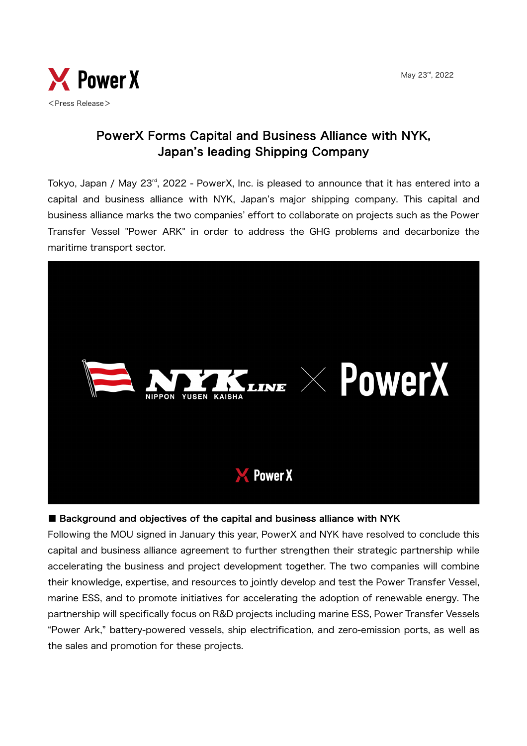

### PowerX Forms Capital and Business Alliance with NYK, Japan's leading Shipping Company

Tokyo, Japan / May 23<sup>rd</sup>, 2022 - PowerX, Inc. is pleased to announce that it has entered into a capital and business alliance with NYK, Japan's major shipping company. This capital and business alliance marks the two companies' effort to collaborate on projects such as the Power Transfer Vessel "Power ARK" in order to address the GHG problems and decarbonize the maritime transport sector.



#### ■ Background and objectives of the capital and business alliance with NYK

Following the MOU signed in January this year, PowerX and NYK have resolved to conclude this capital and business alliance agreement to further strengthen their strategic partnership while accelerating the business and project development together. The two companies will combine their knowledge, expertise, and resources to jointly develop and test the Power Transfer Vessel, marine ESS, and to promote initiatives for accelerating the adoption of renewable energy. The partnership will specifically focus on R&D projects including marine ESS, Power Transfer Vessels "Power Ark," battery-powered vessels, ship electrification, and zero-emission ports, as well as the sales and promotion for these projects.